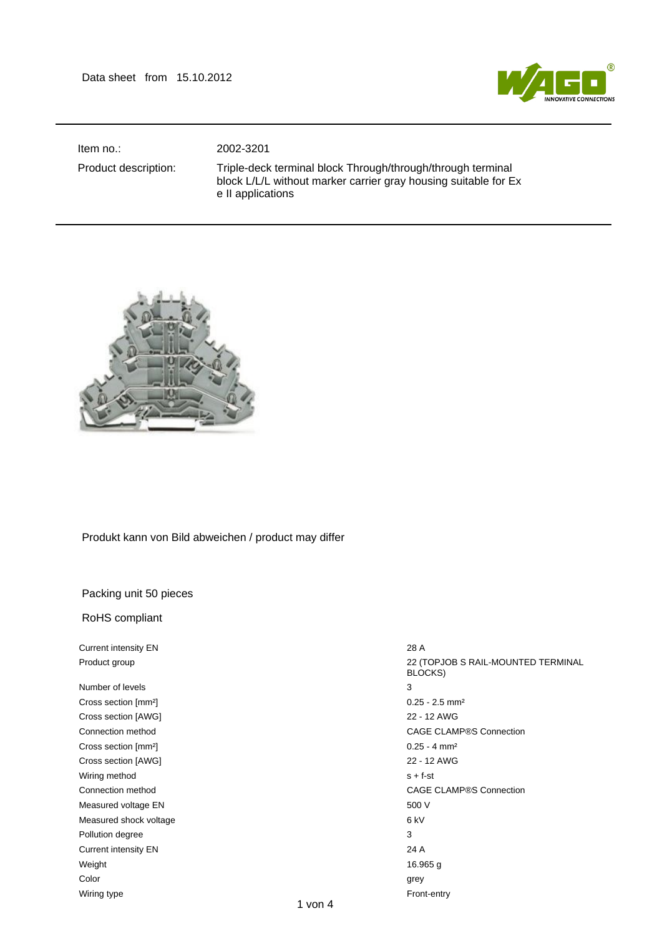

Item no.: 2002-3201

Product description: Triple-deck terminal block Through/through/through terminal block L/L/L without marker carrier gray housing suitable for Ex e II applications



## Produkt kann von Bild abweichen / product may differ

## Packing unit 50 pieces

RoHS compliant

Current intensity EN 28 A

Number of levels 3 Cross section [mm²] 0.25 - 2.5 mm² Cross section [AWG] 22 - 12 AWG Cross section [mm<sup>2</sup>] 0.25 - 4 mm<sup>2</sup> Cross section [AWG] 22 - 12 AWG Wiring method s + f-st Measured voltage EN 600 V Measured shock voltage 6 kV Pollution degree 3 Current intensity EN 24 A Weight 16.965 g Color grey and the color color color color color color color color color color color color color color color color Wiring type **Front-entry** 

Product group **22 (TOPJOB S RAIL-MOUNTED TERMINAL** BLOCKS) Connection method CAGE CLAMP®S Connection Connection method CAGE CLAMP®S Connection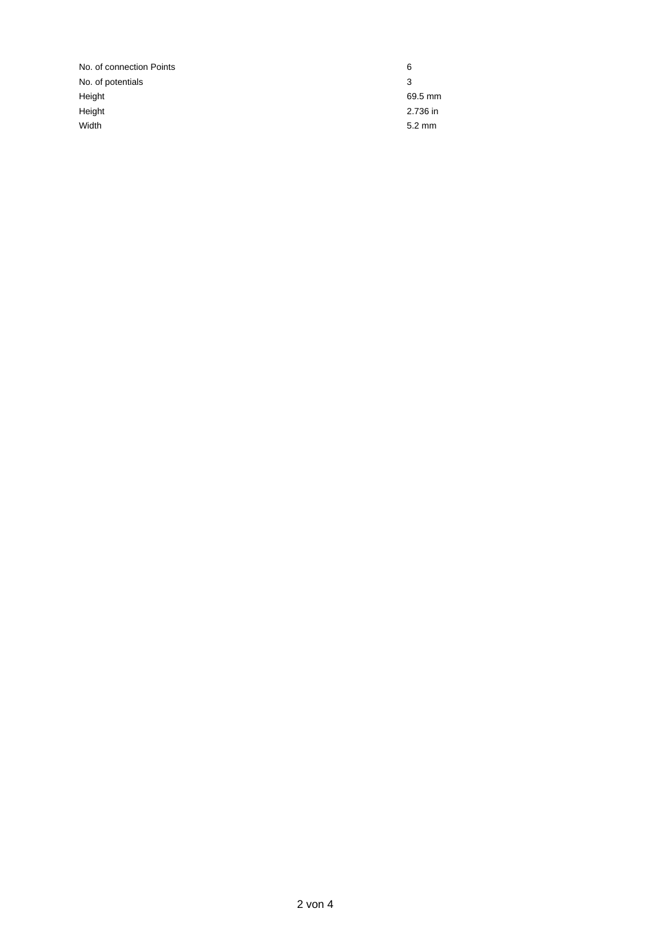No. of connection Points 6 No. of potentials 3 Height 69.5 mm Height 2.736 in Width 5.2 mm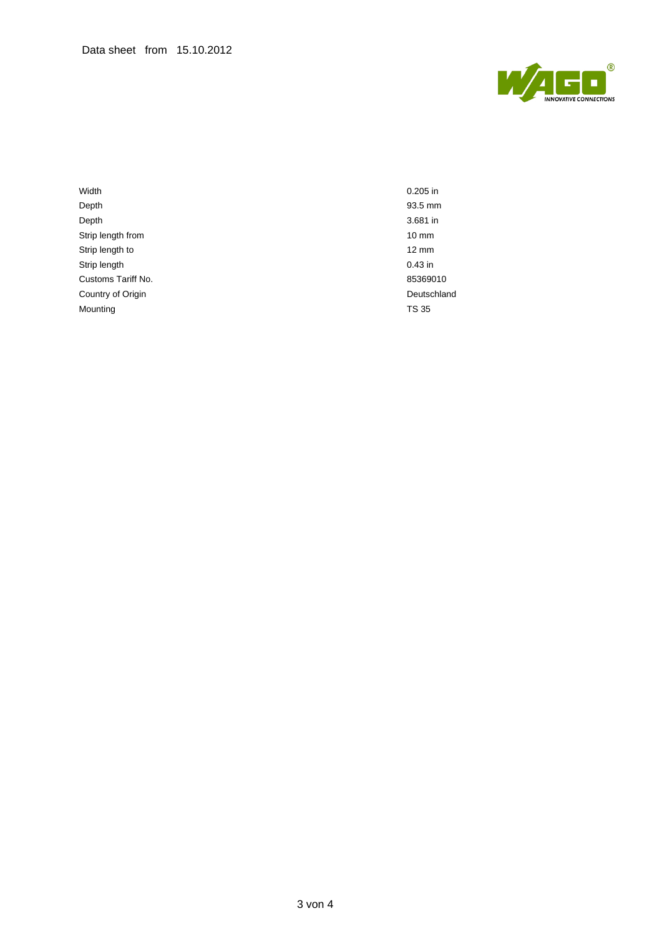

Width 0.205 in Depth 93.5 mm Depth 3.681 in Strip length from 10 mm Strip length to 12 mm Strip length 0.43 in Customs Tariff No. 2008 2010 2012 2020 2030 2040 205369010 Country of Origin **Deutschland** Mounting TS 35